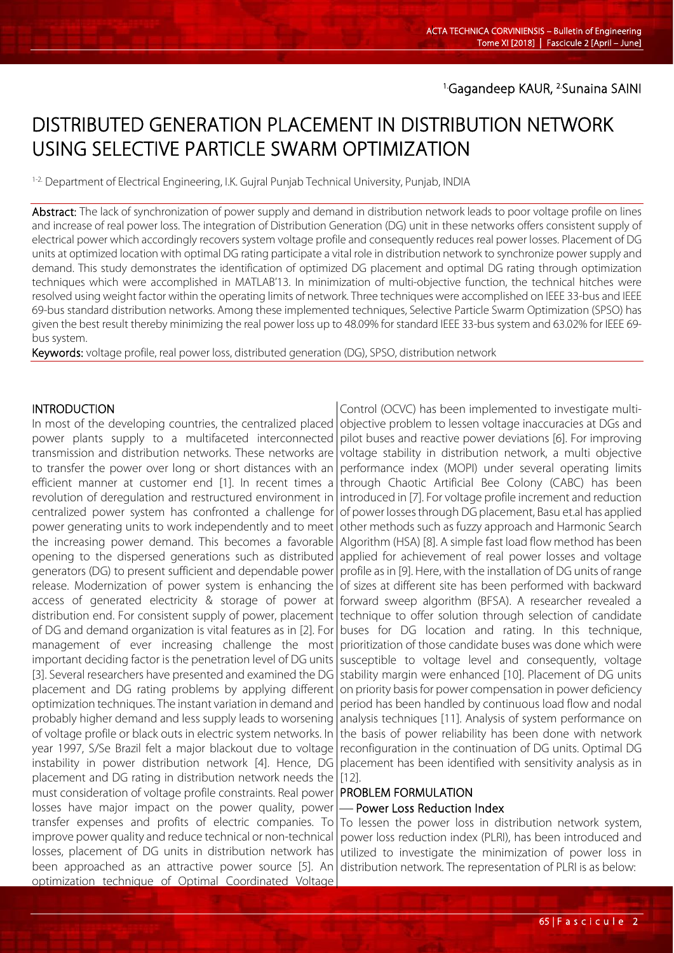## DISTRIBUTED GENERATION PLACEMENT IN DISTRIBUTION NETWORK USING SELECTIVE PARTICLE SWARM OPTIMIZATION

<sup>1-2</sup>. Department of Electrical Engineering, I.K. Gujral Punjab Technical University, Punjab, INDIA

Abstract: The lack of synchronization of power supply and demand in distribution network leads to poor voltage profile on lines and increase of real power loss. The integration of Distribution Generation (DG) unit in these networks offers consistent supply of electrical power which accordingly recovers system voltage profile and consequently reduces real power losses. Placement of DG units at optimized location with optimal DG rating participate a vital role in distribution network to synchronize power supply and demand. This study demonstrates the identification of optimized DG placement and optimal DG rating through optimization techniques which were accomplished in MATLAB'13. In minimization of multi-objective function, the technical hitches were resolved using weight factor within the operating limits of network. Three techniques were accomplished on IEEE 33-bus and IEEE 69-bus standard distribution networks. Among these implemented techniques, Selective Particle Swarm Optimization (SPSO) has given the best result thereby minimizing the real power loss up to 48.09% for standard IEEE 33-bus system and 63.02% for IEEE 69 bus system.

Keywords: voltage profile, real power loss, distributed generation (DG), SPSO, distribution network

## **INTRODUCTION**

l

In most of the developing countries, the centralized placed objective problem to lessen voltage inaccuracies at DGs and power plants supply to a multifaceted interconnected transmission and distribution networks. These networks are to transfer the power over long or short distances with an efficient manner at customer end [1]. In recent times a revolution of deregulation and restructured environment in centralized power system has confronted a challenge for power generating units to work independently and to meet the increasing power demand. This becomes a favorable opening to the dispersed generations such as distributed generators (DG) to present sufficient and dependable power release. Modernization of power system is enhancing the access of generated electricity & storage of power at distribution end. For consistent supply of power, placement of DG and demand organization is vital features as in [2]. For management of ever increasing challenge the most important deciding factor is the penetration level of DG units [3]. Several researchers have presented and examined the DG placement and DG rating problems by applying different optimization techniques. The instant variation in demand and probably higher demand and less supply leads to worsening of voltage profile or black outs in electric system networks. In year 1997, S/Se Brazil felt a major blackout due to voltage instability in power distribution network [4]. Hence, DG placement and DG rating in distribution network needs the must consideration of voltage profile constraints. Real power losses have major impact on the power quality, power transfer expenses and profits of electric companies. To improve power quality and reduce technical or non-technical losses, placement of DG units in distribution network has been approached as an attractive power source [5]. An optimization technique of Optimal Coordinated Voltage

Control (OCVC) has been implemented to investigate multipilot buses and reactive power deviations [6]. For improving voltage stability in distribution network, a multi objective performance index (MOPI) under several operating limits through Chaotic Artificial Bee Colony (CABC) has been introduced in [7]. For voltage profile increment and reduction of power losses through DG placement, Basu et.al has applied other methods such as fuzzy approach and Harmonic Search Algorithm (HSA) [8]. A simple fast load flow method has been applied for achievement of real power losses and voltage profile as in [9]. Here, with the installation of DG units of range of sizes at different site has been performed with backward forward sweep algorithm (BFSA). A researcher revealed a technique to offer solution through selection of candidate buses for DG location and rating. In this technique, prioritization of those candidate buses was done which were susceptible to voltage level and consequently, voltage stability margin were enhanced [10]. Placement of DG units on priority basis for power compensation in power deficiency period has been handled by continuous load flow and nodal analysis techniques [11]. Analysis of system performance on the basis of power reliability has been done with network reconfiguration in the continuation of DG units. Optimal DG placement has been identified with sensitivity analysis as in [12].

#### PROBLEM FORMULATION Power Loss Reduction Index

To lessen the power loss in distribution network system, power loss reduction index (PLRI), has been introduced and utilized to investigate the minimization of power loss in distribution network. The representation of PLRI is as below: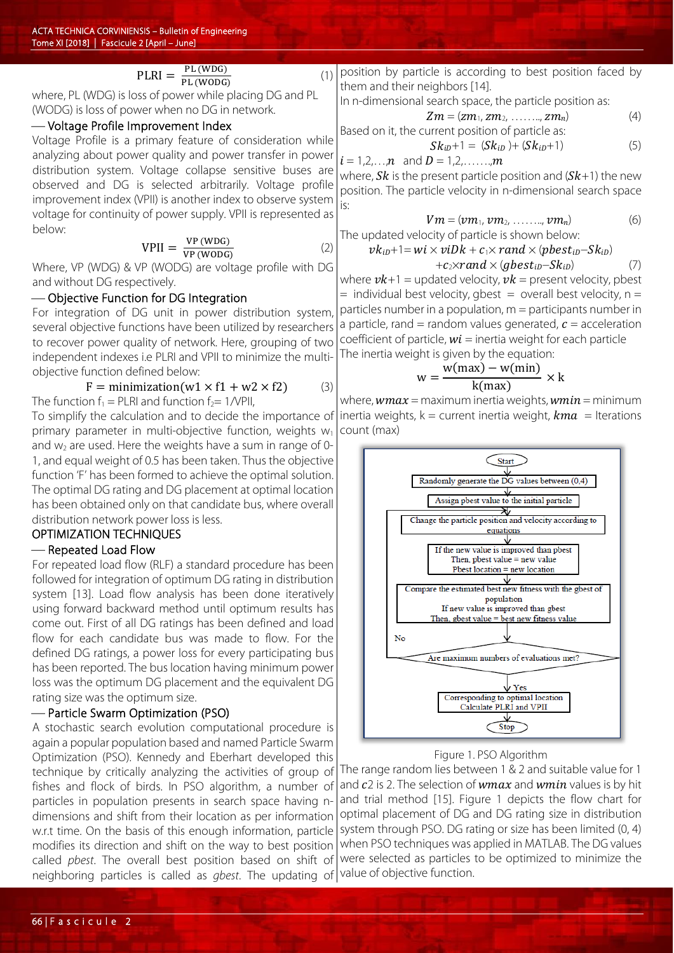# $\text{PLRI} = \frac{\text{PL (WDG)}}{\text{PL (WODG)}}$

where, PL (WDG) is loss of power while placing DG and PL (WODG) is loss of power when no DG in network.

#### - Voltage Profile Improvement Index

Voltage Profile is a primary feature of consideration while analyzing about power quality and power transfer in power distribution system. Voltage collapse sensitive buses are observed and DG is selected arbitrarily. Voltage profile improvement index (VPII) is another index to observe system voltage for continuity of power supply. VPII is represented as below:

$$
VPII = \frac{VP (WDG)}{VP (WODG)}
$$
 (2)

 $\hspace{1.6cm} (1)$ 

ve (wobd)<br>Where, VP (WDG) & VP (WODG) are voltage profile with DG and without DG respectively.

#### Objective Function for DG Integration

For integration of DG unit in power distribution system, several objective functions have been utilized by researchers to recover power quality of network. Here, grouping of two independent indexes i.e PLRI and VPII to minimize the multiobjective function defined below:

$$
F = \text{minimization}(w1 \times f1 + w2 \times f2) \tag{3}
$$

The function  $f_1$  = PLRI and function  $f_2$ = 1/VPII,

To simplify the calculation and to decide the importance of primary parameter in multi-objective function, weights  $w_1$ and  $w_2$  are used. Here the weights have a sum in range of 0-1, and equal weight of 0.5 has been taken. Thus the objective function 'F' has been formed to achieve the optimal solution. The optimal DG rating and DG placement at optimal location has been obtained only on that candidate bus, where overall distribution network power loss is less.

## OPTIMIZATION TECHNIQUES

## - Repeated Load Flow

For repeated load flow (RLF) a standard procedure has been followed for integration of optimum DG rating in distribution system [13]. Load flow analysis has been done iteratively using forward backward method until optimum results has come out. First of all DG ratings has been defined and load flow for each candidate bus was made to flow. For the defined DG ratings, a power loss for every participating bus has been reported. The bus location having minimum power loss was the optimum DG placement and the equivalent DG rating size was the optimum size.

#### Particle Swarm Optimization (PSO)

A stochastic search evolution computational procedure is again a popular population based and named Particle Swarm Optimization (PSO). Kennedy and Eberhart developed this technique by critically analyzing the activities of group of fishes and flock of birds. In PSO algorithm, a number of particles in population presents in search space having ndimensions and shift from their location as per information w.r.t time. On the basis of this enough information, particle modifies its direction and shift on the way to best position called *pbest*. The overall best position based on shift of neighboring particles is called as *gbest*. The updating of value of objective function.

position by particle is according to best position faced by them and their neighbors [14].

In n-dimensional search space, the particle position as:

$$
Zm = (zm_1, zm_2, \ldots, zm_n) \qquad (4)
$$

Based on it, the current position of particle as:

$$
Sk_{iD} + 1 = (Sk_{iD}) + (Sk_{iD} + 1)
$$
 (5)

 $i = 1,2,...,n$  and  $D = 1,2,...,m$ 

where,  $Sk$  is the present particle position and  $(Sk+1)$  the new position. The particle velocity in n-dimensional search space is:

$$
Vm = (vm_1, \, \, \cdot \, \, \cdot \, \, \ldots \, \, \ldots \, \, \cdot \, \, \, \cdot \, \, \, \ldots \, \, \ldots \, \, \cdot \, \, \, \cdot \, \, \, \ldots \, \, \cdot \, \, \cdot \, \, \cdot \, \, \cdot \, \, \cdot \, \, \cdot \, \, \cdot \, \, \cdot \, \, \cdot \, \, \cdot \, \, \cdot \, \, \cdot \, \cdot \, \cdot \, \cdot \, \cdot \, \cdot \, \cdot \, \cdot \, \cdot \, \cdot \, \cdot \, \cdot \, \cdot \, \cdot \, \cdot \, \cdot \, \cdot \, \cdot \, \cdot \, \cdot \, \cdot \, \cdot \, \cdot \, \cdot \, \cdot \, \cdot \, \cdot \, \cdot \, \cdot \, \cdot \, \cdot \, \cdot \, \cdot \, \cdot \, \cdot \, \cdot \, \cdot \, \cdot \, \cdot \, \cdot \, \cdot \, \cdot \, \cdot \, \cdot \, \cdot \, \cdot \, \cdot \, \cdot \, \cdot \, \cdot \, \cdot \, \cdot \, \cdot \, \cdot \, \cdot \, \cdot \, \cdot \, \cdot \, \cdot \, \cdot \, \cdot \, \cdot \, \cdot \, \cdot \, \cdot \, \cdot \, \cdot \, \cdot \, \cdot \, \cdot \, \cdot \, \cdot \, \cdot \, \cdot \, \cdot \, \cdot \, \cdot \, \cdot \, \cdot \, \cdot \, \cdot \, \cdot \, \cdot \, \cdot \, \cdot \, \cdot \, \cdot \, \cdot \, \cdot \, \cdot \, \cdot \, \cdot \, \cdot \, \cdot \, \cdot \, \cdot \, \cdot \, \cdot \, \cdot \, \cdot \, \cdot \, \cdot \, \cdot \, \cdot \, \cdot \, \cdot \, \cdot \, \cdot \, \cdot \, \cdot \, \cdot \, \cdot \, \cdot \, \cdot \, \cdot \, \cdot \, \cdot \, \cdot \, \cdot \, \cdot \, \cdot \, \cdot \, \cdot \, \cdot \, \cdot \, \cdot \, \cdot \, \cdot \, \cdot \, \cdot \, \cdot \, \cdot \, \cdot \, \cdot \, \cdot \, \cdot \, \cdot \, \cdot \, \cdot \, \cdot \, \cdot \, \cdot \, \cdot \, \cdot \, \cdot \, \cdot \, \cdot \, \cdot \, \cdot \, \cdot \, \cdot \
$$

The updated velocity of particle is shown below:  

$$
v k_{ib} + 1 = wi \times viDk + c_1 \times rand \times (pbest_{ib} - Sk_{ib})
$$

$$
+c_2 \times rand \times (gbest_{iD} - Sk_{iD})
$$
 (7)

where  $\nu k+1$  = updated velocity,  $\nu k$  = present velocity, pbest  $=$  individual best velocity, gbest  $=$  overall best velocity,  $n =$ particles number in a population, m = participants number in a particle, rand = random values generated,  $c =$  acceleration coefficient of particle,  $wi =$  inertia weight for each particle The inertia weight is given by the equation:

$$
w = \frac{w(max) - w(min)}{k(max)} \times k
$$

where,  $wmax =$  maximum inertia weights,  $wmin =$  minimum inertia weights,  $k =$  current inertia weight,  $kma =$  Iterations count (max)



#### Figure 1. PSO Algorithm

The range random lies between 1 & 2 and suitable value for 1 and  $c$ 2 is 2. The selection of  $wmax$  and  $wmin$  values is by hit and trial method [15]. Figure 1 depicts the flow chart for optimal placement of DG and DG rating size in distribution system through PSO. DG rating or size has been limited (0, 4) when PSO techniques was applied in MATLAB. The DG values were selected as particles to be optimized to minimize the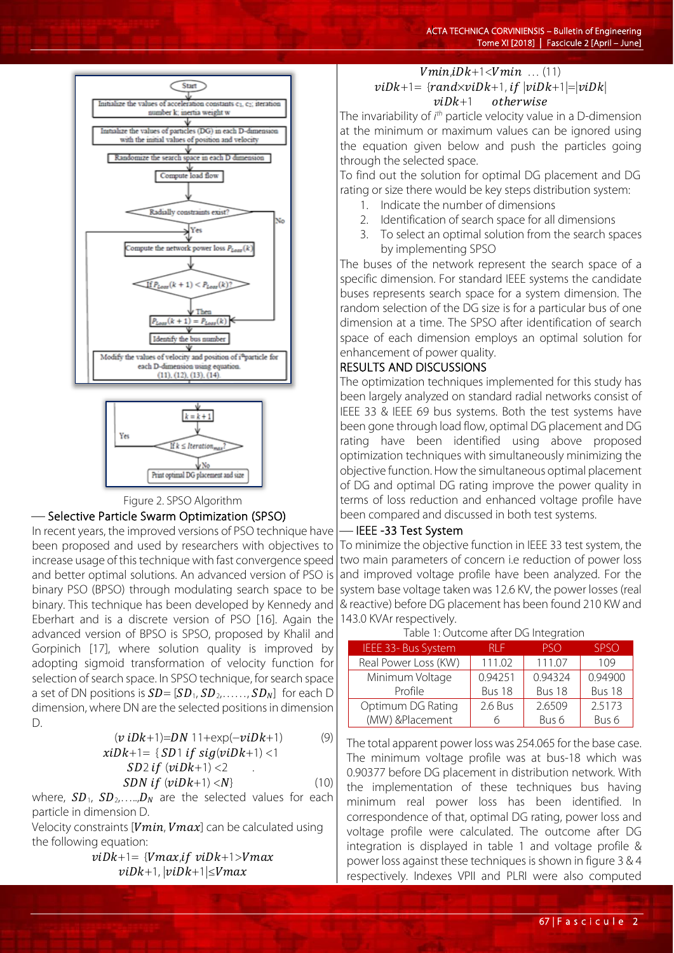



#### Figure 2. SPSO Algorithm

#### -Selective Particle Swarm Optimization (SPSO)

In recent years, the improved versions of PSO technique have been proposed and used by researchers with objectives to increase usage of this technique with fast convergence speed and better optimal solutions. An advanced version of PSO is binary PSO (BPSO) through modulating search space to be binary. This technique has been developed by Kennedy and Eberhart and is a discrete version of PSO [16]. Again the advanced version of BPSO is SPSO, proposed by Khalil and Gorpinich [17], where solution quality is improved by adopting sigmoid transformation of velocity function for selection of search space. In SPSO technique, for search space a set of DN positions is  $SD = [SD_1, SD_2, \ldots, SD_N]$  for each D dimension, where DN are the selected positions in dimension D.

$$
(v iDk+1)=DN 11+\exp(-viDk+1)
$$
\n
$$
x iDk+1 = \{ SD1 if sig(viDk+1) < 1
$$
\n
$$
SD2 if (viDk+1) < 2
$$
\n
$$
SDN if (viDk+1) < N \}
$$
\n
$$
(10)
$$

where,  $SD_1$ ,  $SD_2$ ,....., $D_N$  are the selected values for each particle in dimension D.

Velocity constraints [ $Vmin, Vmax$ ] can be calculated using the following equation:

$$
vibk+1 = \{Vmax, if \; vibk+1> Vmax \; \\ vibk+1, |vibk+1| \le Vmax \;
$$

$$
Vmin, iDk+1 < Vmin \dots (11)
$$
\n
$$
viDk+1 = {randxviDk+1, if |viDk+1| = |viDk| \atop viDk+1 \quad otherwise}
$$

The invariability of *i th* particle velocity value in a D-dimension at the minimum or maximum values can be ignored using the equation given below and push the particles going through the selected space.

To find out the solution for optimal DG placement and DG rating or size there would be key steps distribution system:

- 1. Indicate the number of dimensions
- 2. Identification of search space for all dimensions
- 3. To select an optimal solution from the search spaces by implementing SPSO

The buses of the network represent the search space of a specific dimension. For standard IEEE systems the candidate buses represents search space for a system dimension. The random selection of the DG size is for a particular bus of one dimension at a time. The SPSO after identification of search space of each dimension employs an optimal solution for enhancement of power quality.

## RESULTS AND DISCUSSIONS

The optimization techniques implemented for this study has been largely analyzed on standard radial networks consist of IEEE 33 & IEEE 69 bus systems. Both the test systems have been gone through load flow, optimal DG placement and DG rating have been identified using above proposed optimization techniques with simultaneously minimizing the objective function. How the simultaneous optimal placement of DG and optimal DG rating improve the power quality in terms of loss reduction and enhanced voltage profile have been compared and discussed in both test systems.

## IEEE -33 Test System

To minimize the objective function in IEEE 33 test system, the two main parameters of concern i.e reduction of power loss and improved voltage profile have been analyzed. For the system base voltage taken was 12.6 KV, the power losses (real & reactive) before DG placement has been found 210 KW and 143.0 KVAr respectively.

Table 1: Outcome after DG Integration

| IEEE 33- Bus System  | RI F    | <b>PSO</b> | <b>SPSO</b> |
|----------------------|---------|------------|-------------|
| Real Power Loss (KW) | 111.02  | 111.07     | 109         |
| Minimum Voltage      | 0.94251 | 0.94324    | 0.94900     |
| Profile              | Bus 18  | Bus 18     | Bus 18      |
| Optimum DG Rating    | 2.6 Bus | 2.6509     | 2.5173      |
| (MW) &Placement      | h       | Bus 6      | Bus 6       |

## The total apparent power loss was 254.065 for the base case. The minimum voltage profile was at bus-18 which was 0.90377 before DG placement in distribution network. With the implementation of these techniques bus having minimum real power loss has been identified. In correspondence of that, optimal DG rating, power loss and voltage profile were calculated. The outcome after DG integration is displayed in table 1 and voltage profile & power loss against these techniques is shown in figure 3 & 4 respectively. Indexes VPII and PLRI were also computed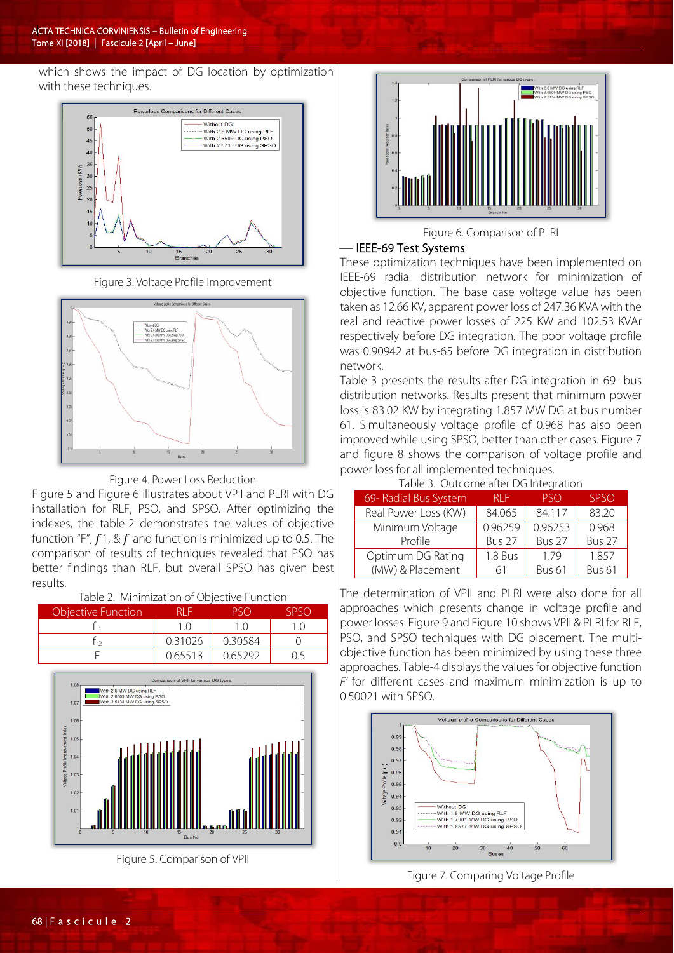which shows the impact of DG location by optimization with these techniques.



Figure 3. Voltage Profile Improvement





Figure 5 and Figure 6 illustrates about VPII and PLRI with DG installation for RLF, PSO, and SPSO. After optimizing the indexes, the table-2 demonstrates the values of objective function "F",  $f1$ , &  $f$  and function is minimized up to 0.5. The comparison of results of techniques revealed that PSO has better findings than RLF, but overall SPSO has given best results.

| Table 2. Minimization of Objective Function |         |         |                |
|---------------------------------------------|---------|---------|----------------|
| <b>Objective Function</b>                   | RI F    | PSO     | <b>SPSO</b>    |
|                                             | 1 ()    | 10      | $\binom{1}{1}$ |
|                                             | 0.31026 | 0.30584 |                |
|                                             | 0.65513 | 0.65292 |                |
|                                             |         |         |                |



Figure 5. Comparison of VPII



Figure 6. Comparison of PLRI

## IEEE-69 Test Systems

These optimization techniques have been implemented on IEEE-69 radial distribution network for minimization of objective function. The base case voltage value has been taken as 12.66 KV, apparent power loss of 247.36 KVA with the real and reactive power losses of 225 KW and 102.53 KVAr respectively before DG integration. The poor voltage profile was 0.90942 at bus-65 before DG integration in distribution network.

Table-3 presents the results after DG integration in 69- bus distribution networks. Results present that minimum power loss is 83.02 KW by integrating 1.857 MW DG at bus number 61. Simultaneously voltage profile of 0.968 has also been improved while using SPSO, better than other cases. Figure 7 and figure 8 shows the comparison of voltage profile and power loss for all implemented techniques.

|  | Table 3. Outcome after DG Integration |
|--|---------------------------------------|

| rapic b. Catcorric arter DG integration. |               |            |             |
|------------------------------------------|---------------|------------|-------------|
| 69- Radial Bus System                    | RI F          | <b>PSO</b> | <b>SPSO</b> |
| Real Power Loss (KW)                     | 84.065        | 84.117     | 83.20       |
| Minimum Voltage                          | 0.96259       | 0.96253    | 0.968       |
| Profile                                  | <b>Bus 27</b> | Bus 27     | Bus 27      |
| Optimum DG Rating                        | 1.8 Bus       | 1.79       | 1.857       |
| (MW) & Placement                         | 61            | Bus 61     | Bus 61      |

The determination of VPII and PLRI were also done for all approaches which presents change in voltage profile and power losses. Figure 9 and Figure 10 shows VPII & PLRI for RLF, PSO, and SPSO techniques with DG placement. The multiobjective function has been minimized by using these three approaches. Table-4 displays the values for objective function *F'* for different cases and maximum minimization is up to 0.50021 with SPSO.



Figure 7. Comparing Voltage Profile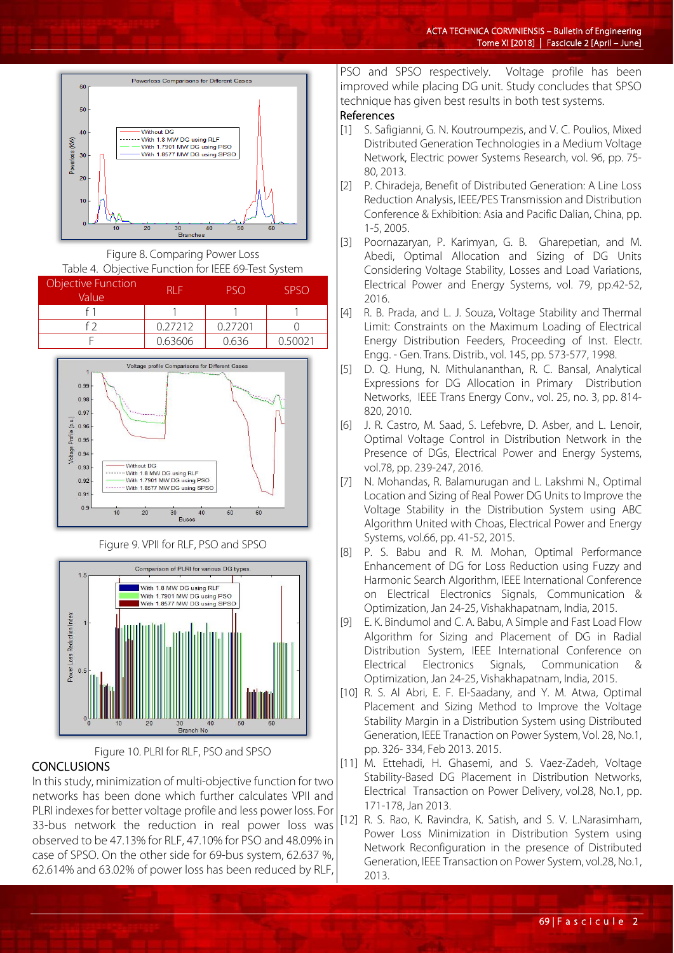

Figure 8. Comparing Power Loss Table 4. Objective Function for IEEE 69-Test System

| Objective Function<br>Value | RI F    |         | SPSO |
|-----------------------------|---------|---------|------|
|                             |         |         |      |
|                             | 0.27212 | 0.27201 |      |
|                             | 0.63606 | 0.636   |      |



Figure 9. VPII for RLF, PSO and SPSO





## **CONCLUSIONS**

In this study, minimization of multi-objective function for two networks has been done which further calculates VPII and PLRI indexes for better voltage profile and less power loss. For 33-bus network the reduction in real power loss was observed to be 47.13% for RLF, 47.10% for PSO and 48.09% in case of SPSO. On the other side for 69-bus system, 62.637 %, 62.614% and 63.02% of power loss has been reduced by RLF,

PSO and SPSO respectively. Voltage profile has been improved while placing DG unit. Study concludes that SPSO technique has given best results in both test systems.

## References

- [1] S. Safigianni, G. N. Koutroumpezis, and V. C. Poulios, Mixed Distributed Generation Technologies in a Medium Voltage Network, Electric power Systems Research, vol. 96, pp. 75- 80, 2013.
- [2] P. Chiradeja, Benefit of Distributed Generation: A Line Loss Reduction Analysis, IEEE/PES Transmission and Distribution Conference & Exhibition: Asia and Pacific Dalian, China, pp. 1-5, 2005.
- [3] Poornazaryan, P. Karimyan, G. B. Gharepetian, and M. Abedi, Optimal Allocation and Sizing of DG Units Considering Voltage Stability, Losses and Load Variations, Electrical Power and Energy Systems, vol. 79, pp.42-52, 2016.
- [4] R. B. Prada, and L. J. Souza, Voltage Stability and Thermal Limit: Constraints on the Maximum Loading of Electrical Energy Distribution Feeders, Proceeding of Inst. Electr. Engg. - Gen. Trans. Distrib., vol. 145, pp. 573-577, 1998.
- [5] D. Q. Hung, N. Mithulananthan, R. C. Bansal, Analytical Expressions for DG Allocation in Primary Distribution Networks, IEEE Trans Energy Conv., vol. 25, no. 3, pp. 814- 820, 2010.
- [6] J. R. Castro, M. Saad, S. Lefebvre, D. Asber, and L. Lenoir, Optimal Voltage Control in Distribution Network in the Presence of DGs, Electrical Power and Energy Systems, vol.78, pp. 239-247, 2016.
- [7] N. Mohandas, R. Balamurugan and L. Lakshmi N., Optimal Location and Sizing of Real Power DG Units to Improve the Voltage Stability in the Distribution System using ABC Algorithm United with Choas, Electrical Power and Energy Systems, vol.66, pp. 41-52, 2015.
- [8] P. S. Babu and R. M. Mohan, Optimal Performance Enhancement of DG for Loss Reduction using Fuzzy and Harmonic Search Algorithm, IEEE International Conference on Electrical Electronics Signals, Communication & Optimization, Jan 24-25, Vishakhapatnam, India, 2015.
- [9] E. K. Bindumol and C. A. Babu, A Simple and Fast Load Flow Algorithm for Sizing and Placement of DG in Radial Distribution System, IEEE International Conference on Electrical Electronics Signals, Communication Optimization, Jan 24-25, Vishakhapatnam, India, 2015.
- [10] R. S. Al Abri, E. F. El-Saadany, and Y. M. Atwa, Optimal Placement and Sizing Method to Improve the Voltage Stability Margin in a Distribution System using Distributed Generation, IEEE Tranaction on Power System, Vol. 28, No.1, pp. 326- 334, Feb 2013. 2015.
- [11] M. Ettehadi, H. Ghasemi, and S. Vaez-Zadeh, Voltage Stability-Based DG Placement in Distribution Networks, Electrical Transaction on Power Delivery, vol.28, No.1, pp. 171-178, Jan 2013.
- [12] R. S. Rao, K. Ravindra, K. Satish, and S. V. L.Narasimham, Power Loss Minimization in Distribution System using Network Reconfiguration in the presence of Distributed Generation, IEEE Transaction on Power System, vol.28, No.1, 2013.